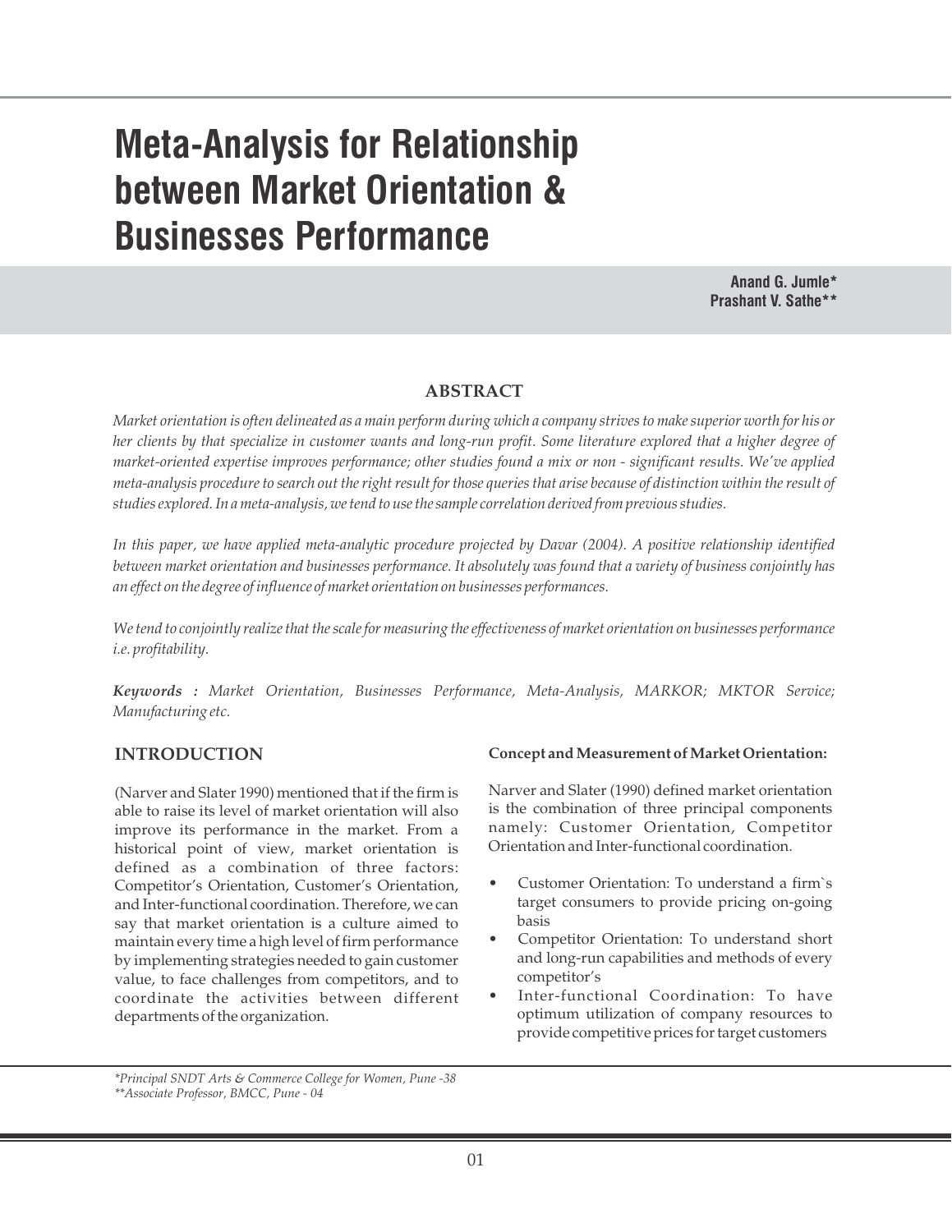# **Meta-Analysis for Relationship between Market Orientation & Businesses Performance**

**Anand G. Jumle\* Prashant V. Sathe\*\***

# **ABSTRACT**

*Market orientation is often delineated as a main perform during which a company strives to make superior worth for his or her clients by that specialize in customer wants and long-run profit. Some literature explored that a higher degree of market-oriented expertise improves performance; other studies found a mix or non - significant results. We've applied meta-analysis procedure to search out the right result for those queries that arise because of distinction within the result of studies explored. In a meta-analysis, we tend to use the sample correlation derived from previous studies.* 

*In this paper, we have applied meta-analytic procedure projected by Davar (2004). A positive relationship identified between market orientation and businesses performance. It absolutely was found that a variety of business conjointly has an effect on the degree of influence of market orientation on businesses performances.* 

*We tend to conjointly realize that the scale for measuring the effectiveness of market orientation on businesses performance i.e. profitability.*

*Keywords : Market Orientation, Businesses Performance, Meta-Analysis, MARKOR; MKTOR Service; Manufacturing etc.*

# **INTRODUCTION**

(Narver and Slater 1990) mentioned that if the firm is able to raise its level of market orientation will also improve its performance in the market. From a historical point of view, market orientation is defined as a combination of three factors: Competitor's Orientation, Customer's Orientation, and Inter-functional coordination. Therefore, we can say that market orientation is a culture aimed to maintain every time a high level of firm performance by implementing strategies needed to gain customer value, to face challenges from competitors, and to coordinate the activities between different departments of the organization.

#### **Concept and Measurement of Market Orientation:**

Narver and Slater (1990) defined market orientation is the combination of three principal components namely: Customer Orientation, Competitor Orientation and Inter-functional coordination.

- Customer Orientation: To understand a firm`s target consumers to provide pricing on-going basis
- Competitor Orientation: To understand short and long-run capabilities and methods of every competitor's
- Inter-functional Coordination: To have optimum utilization of company resources to provide competitive prices for target customers

*<sup>\*</sup>Principal SNDT Arts & Commerce College for Women, Pune -38 \*\*Associate Professor, BMCC, Pune - 04*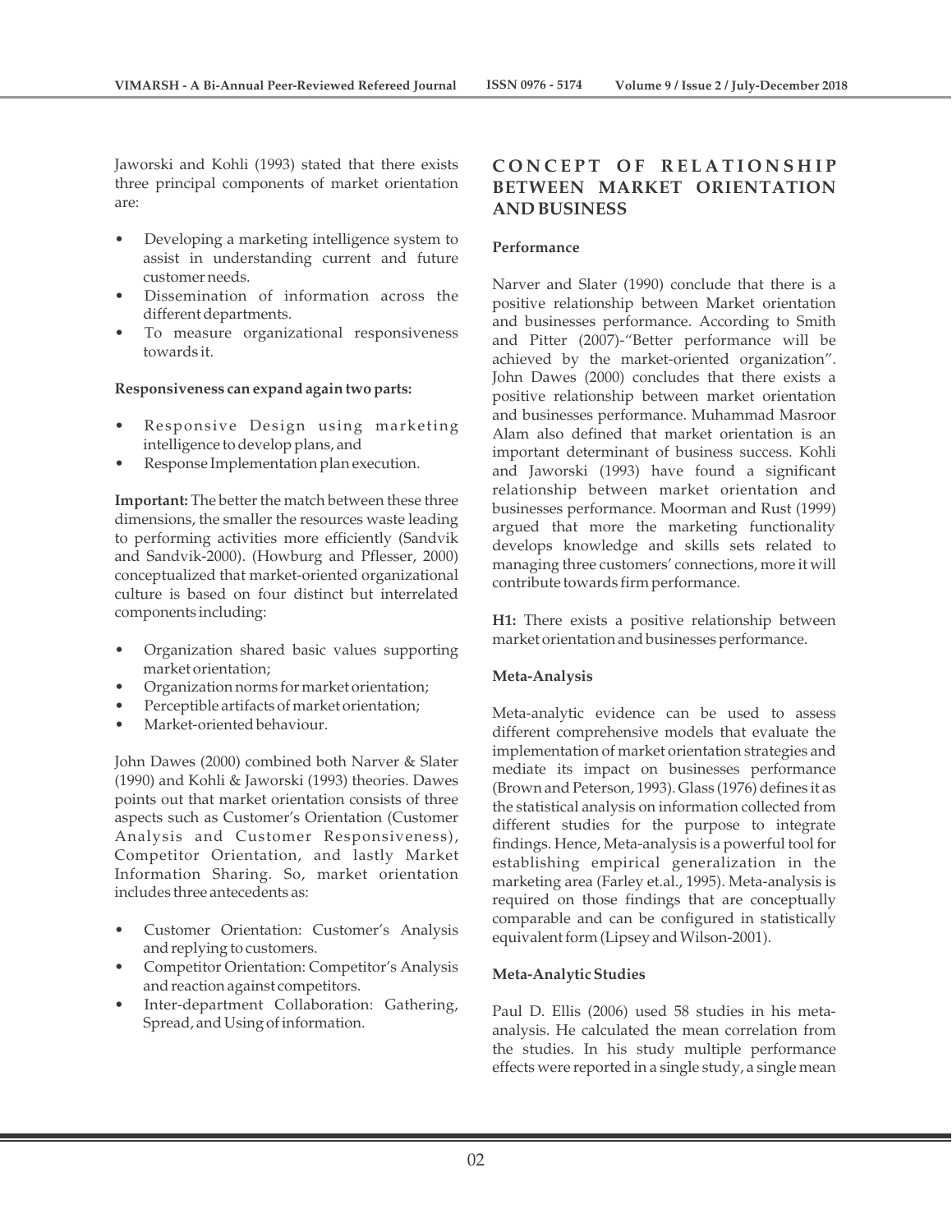Jaworski and Kohli (1993) stated that there exists three principal components of market orientation are:

- Developing a marketing intelligence system to assist in understanding current and future customer needs.
- Dissemination of information across the different departments.
- To measure organizational responsiveness towards it.

## **Responsiveness can expand again two parts:**

- Responsive Design using marketing intelligence to develop plans, and
- Response Implementation plan execution.

**Important:** The better the match between these three dimensions, the smaller the resources waste leading to performing activities more efficiently (Sandvik and Sandvik-2000). (Howburg and Pflesser, 2000) conceptualized that market-oriented organizational culture is based on four distinct but interrelated components including:

- Organization shared basic values supporting market orientation;
- Organization norms for market orientation;
- Perceptible artifacts of market orientation;
- Market-oriented behaviour.

John Dawes (2000) combined both Narver & Slater (1990) and Kohli & Jaworski (1993) theories. Dawes points out that market orientation consists of three aspects such as Customer's Orientation (Customer Analysis and Customer Responsiveness), Competitor Orientation, and lastly Market Information Sharing. So, market orientation includes three antecedents as:

- Customer Orientation: Customer's Analysis and replying to customers.
- Competitor Orientation: Competitor's Analysis and reaction against competitors.
- Inter-department Collaboration: Gathering, Spread, and Using of information.

# $F$  **CONCEPT OF RELATIONSHIP BETWEEN MARKET ORIENTATION AND BUSINESS**

## **Performance**

Narver and Slater (1990) conclude that there is a positive relationship between Market orientation and businesses performance. According to Smith and Pitter (2007)-"Better performance will be achieved by the market-oriented organization". John Dawes (2000) concludes that there exists a positive relationship between market orientation and businesses performance. Muhammad Masroor Alam also defined that market orientation is an important determinant of business success. Kohli and Jaworski (1993) have found a significant relationship between market orientation and businesses performance. Moorman and Rust (1999) argued that more the marketing functionality develops knowledge and skills sets related to managing three customers' connections, more it will contribute towards firm performance.

**H1:** There exists a positive relationship between market orientation and businesses performance.

#### **Meta-Analysis**

Meta-analytic evidence can be used to assess different comprehensive models that evaluate the implementation of market orientation strategies and mediate its impact on businesses performance (Brown and Peterson, 1993). Glass (1976) defines it as the statistical analysis on information collected from different studies for the purpose to integrate findings. Hence, Meta-analysis is a powerful tool for establishing empirical generalization in the marketing area (Farley et.al., 1995). Meta-analysis is required on those findings that are conceptually comparable and can be configured in statistically equivalent form (Lipsey and Wilson-2001).

#### **Meta-Analytic Studies**

Paul D. Ellis (2006) used 58 studies in his metaanalysis. He calculated the mean correlation from the studies. In his study multiple performance effects were reported in a single study, a single mean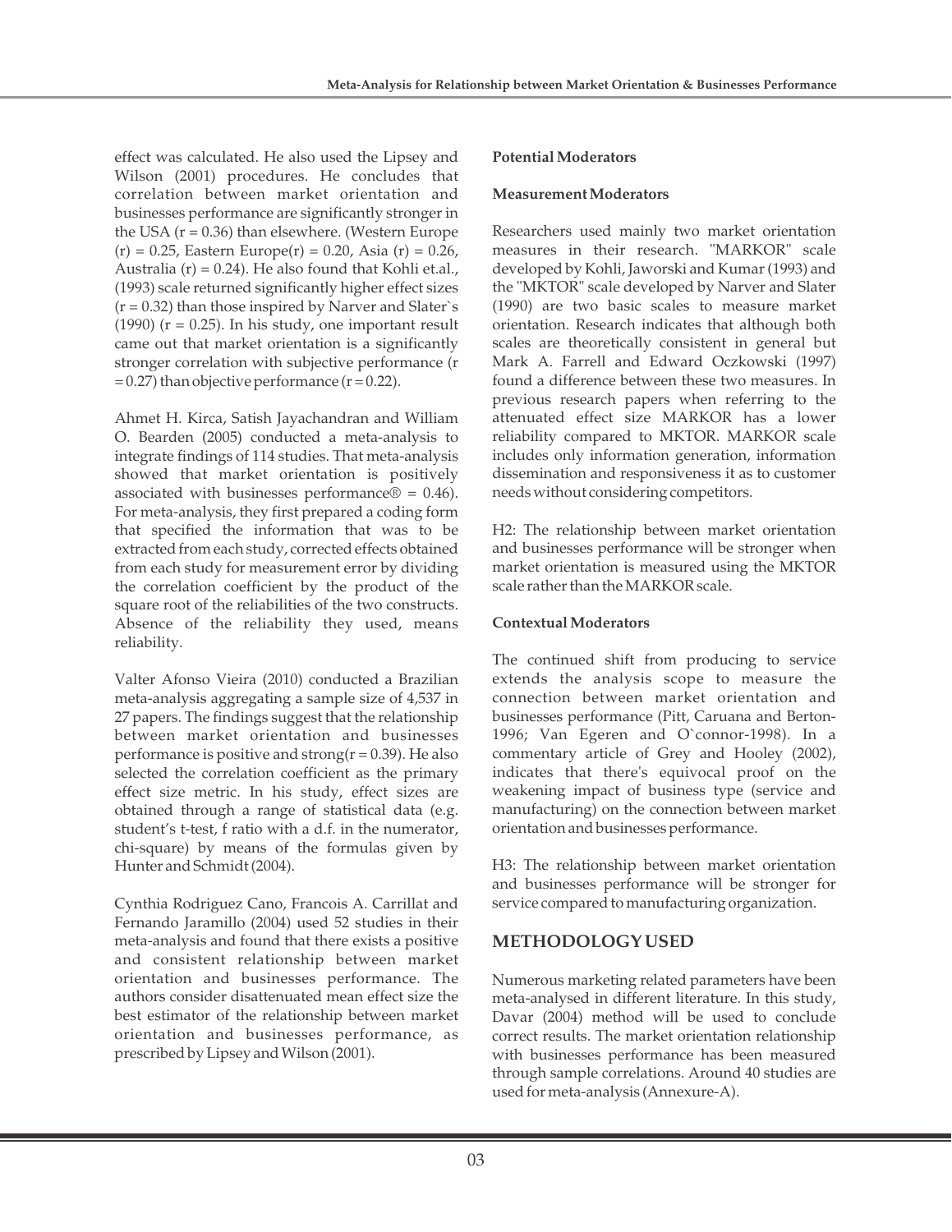effect was calculated. He also used the Lipsey and Wilson (2001) procedures. He concludes that correlation between market orientation and businesses performance are significantly stronger in the USA  $(r = 0.36)$  than elsewhere. (Western Europe  $(r) = 0.25$ , Eastern Europe $(r) = 0.20$ , Asia  $(r) = 0.26$ , Australia (r) = 0.24). He also found that Kohli et.al., (1993) scale returned significantly higher effect sizes  $(r = 0.32)$  than those inspired by Narver and Slater's (1990) ( $r = 0.25$ ). In his study, one important result came out that market orientation is a significantly stronger correlation with subjective performance (r  $= 0.27$ ) than objective performance ( $r = 0.22$ ).

Ahmet H. Kirca, Satish Jayachandran and William O. Bearden (2005) conducted a meta-analysis to integrate findings of 114 studies. That meta-analysis showed that market orientation is positively associated with businesses performance $\mathcal{D} = 0.46$ . For meta-analysis, they first prepared a coding form that specified the information that was to be extracted from each study, corrected effects obtained from each study for measurement error by dividing the correlation coefficient by the product of the square root of the reliabilities of the two constructs. Absence of the reliability they used, means reliability.

Valter Afonso Vieira (2010) conducted a Brazilian meta-analysis aggregating a sample size of 4,537 in 27 papers. The findings suggest that the relationship between market orientation and businesses performance is positive and strong( $r = 0.39$ ). He also selected the correlation coefficient as the primary effect size metric. In his study, effect sizes are obtained through a range of statistical data (e.g. student's t-test, f ratio with a d.f. in the numerator, chi-square) by means of the formulas given by Hunter and Schmidt (2004).

Cynthia Rodriguez Cano, Francois A. Carrillat and Fernando Jaramillo (2004) used 52 studies in their meta-analysis and found that there exists a positive and consistent relationship between market orientation and businesses performance. The authors consider disattenuated mean effect size the best estimator of the relationship between market orientation and businesses performance, as prescribed by Lipsey and Wilson (2001).

## **Potential Moderators**

## **Measurement Moderators**

Researchers used mainly two market orientation measures in their research. "MARKOR" scale developed by Kohli, Jaworski and Kumar (1993) and the "MKTOR" scale developed by Narver and Slater (1990) are two basic scales to measure market orientation. Research indicates that although both scales are theoretically consistent in general but Mark A. Farrell and Edward Oczkowski (1997) found a difference between these two measures. In previous research papers when referring to the attenuated effect size MARKOR has a lower reliability compared to MKTOR. MARKOR scale includes only information generation, information dissemination and responsiveness it as to customer needs without considering competitors.

H2: The relationship between market orientation and businesses performance will be stronger when market orientation is measured using the MKTOR scale rather than the MARKOR scale.

## **Contextual Moderators**

The continued shift from producing to service extends the analysis scope to measure the connection between market orientation and businesses performance (Pitt, Caruana and Berton-1996; Van Egeren and O`connor-1998). In a commentary article of Grey and Hooley (2002), indicates that there's equivocal proof on the weakening impact of business type (service and manufacturing) on the connection between market orientation and businesses performance.

H3: The relationship between market orientation and businesses performance will be stronger for service compared to manufacturing organization.

# **METHODOLOGY USED**

Numerous marketing related parameters have been meta-analysed in different literature. In this study, Davar (2004) method will be used to conclude correct results. The market orientation relationship with businesses performance has been measured through sample correlations. Around 40 studies are used for meta-analysis (Annexure-A).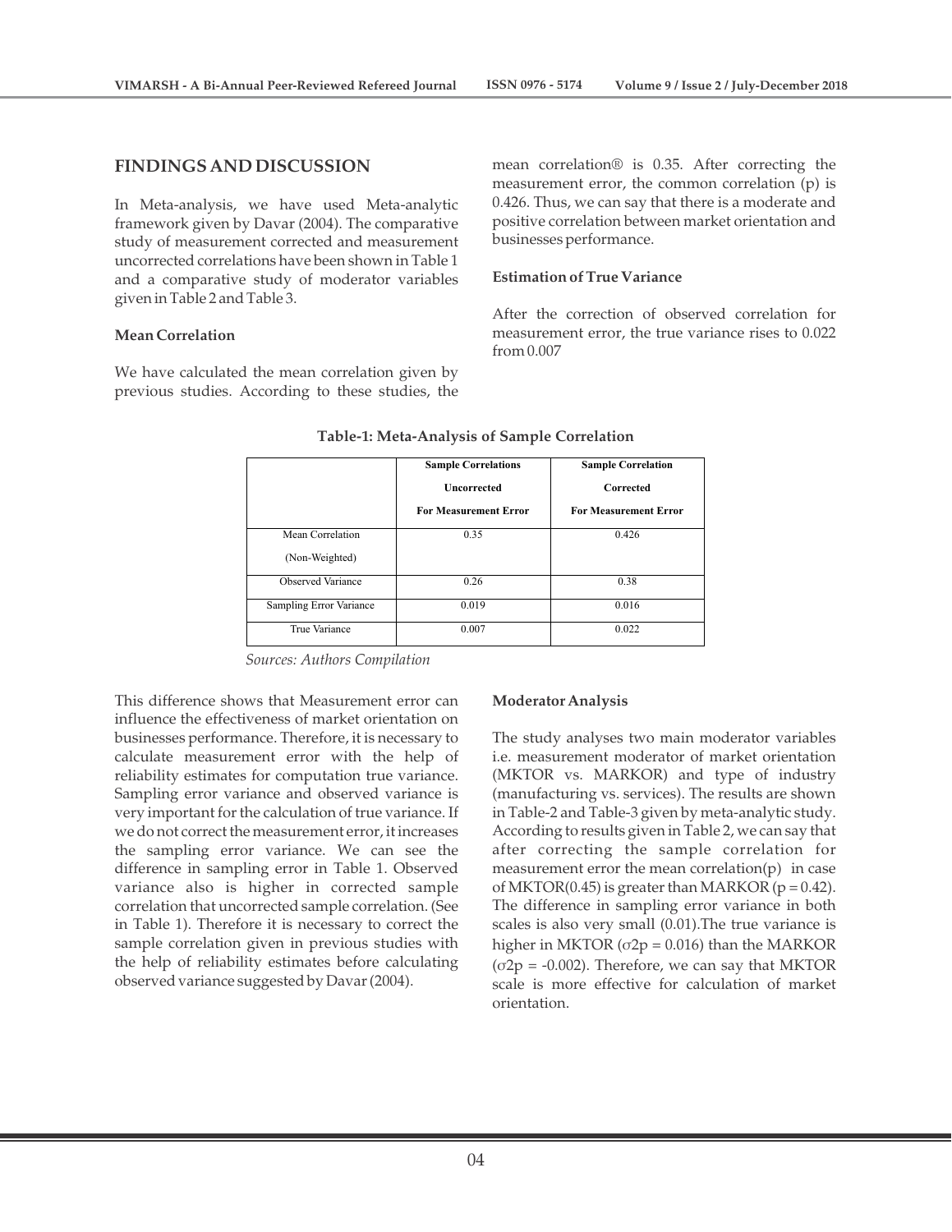## **FINDINGS AND DISCUSSION**

In Meta-analysis, we have used Meta-analytic framework given by Davar (2004). The comparative study of measurement corrected and measurement uncorrected correlations have been shown in Table 1 and a comparative study of moderator variables given in Table 2 and Table 3.

#### **Mean Correlation**

We have calculated the mean correlation given by previous studies. According to these studies, the mean correlation® is 0.35. After correcting the measurement error, the common correlation (p) is 0.426. Thus, we can say that there is a moderate and positive correlation between market orientation and businesses performance.

## **Estimation of True Variance**

After the correction of observed correlation for measurement error, the true variance rises to 0.022 from 0.007

|                         | <b>Sample Correlations</b>   | <b>Sample Correlation</b>    |  |  |
|-------------------------|------------------------------|------------------------------|--|--|
|                         | Uncorrected                  | Corrected                    |  |  |
|                         | <b>For Measurement Error</b> | <b>For Measurement Error</b> |  |  |
| Mean Correlation        | 0.35                         | 0.426                        |  |  |
| (Non-Weighted)          |                              |                              |  |  |
| Observed Variance       | 0.26                         | 0.38                         |  |  |
| Sampling Error Variance | 0.019                        | 0.016                        |  |  |
| True Variance           | 0.007                        | 0.022                        |  |  |

#### **Table-1: Meta-Analysis of Sample Correlation**

*Sources: Authors Compilation*

This difference shows that Measurement error can influence the effectiveness of market orientation on businesses performance. Therefore, it is necessary to calculate measurement error with the help of reliability estimates for computation true variance. Sampling error variance and observed variance is very important for the calculation of true variance. If we do not correct the measurement error, it increases the sampling error variance. We can see the difference in sampling error in Table 1. Observed variance also is higher in corrected sample correlation that uncorrected sample correlation. (See in Table 1). Therefore it is necessary to correct the sample correlation given in previous studies with the help of reliability estimates before calculating observed variance suggested by Davar (2004).

#### **Moderator Analysis**

The study analyses two main moderator variables i.e. measurement moderator of market orientation (MKTOR vs. MARKOR) and type of industry (manufacturing vs. services). The results are shown in Table-2 and Table-3 given by meta-analytic study. According to results given in Table 2, we can say that after correcting the sample correlation for measurement error the mean correlation(p) in case of MKTOR(0.45) is greater than MARKOR ( $p = 0.42$ ). The difference in sampling error variance in both scales is also very small (0.01).The true variance is higher in MKTOR ( $\sigma$ 2 $p$  = 0.016) than the MARKOR  $(\sigma 2p = -0.002)$ . Therefore, we can say that MKTOR scale is more effective for calculation of market orientation.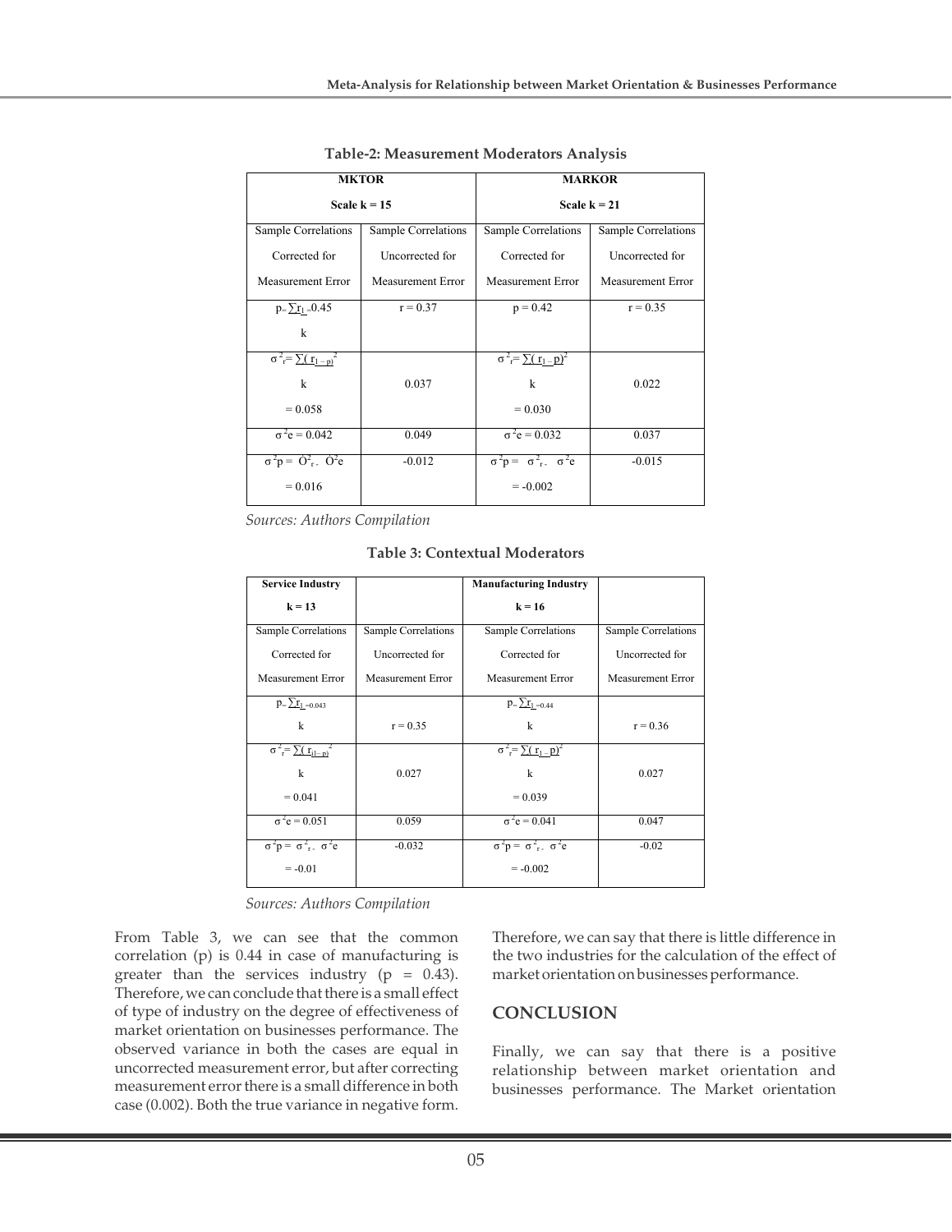|                                          | <b>MKTOR</b>        | <b>MARKOR</b>                            |                     |  |  |
|------------------------------------------|---------------------|------------------------------------------|---------------------|--|--|
|                                          | Scale $k = 15$      | Scale $k = 21$                           |                     |  |  |
| Sample Correlations                      | Sample Correlations | Sample Correlations                      | Sample Correlations |  |  |
| Corrected for                            | Uncorrected for     | Corrected for                            | Uncorrected for     |  |  |
| Measurement Error                        | Measurement Error   | Measurement Error                        | Measurement Error   |  |  |
| $p = \sum_{i=1}^{n} 1$                   | $r = 0.37$          | $p = 0.42$                               | $r = 0.35$          |  |  |
| $\mathbf{k}$                             |                     |                                          |                     |  |  |
| $\sigma^2 = \sum (r_1-p)^2$              |                     | $\sigma^2 = \sum (r_1 - p)^2$            |                     |  |  |
| k                                        | 0.037               | $\mathbf{k}$                             | 0.022               |  |  |
| $= 0.058$                                |                     | $= 0.030$                                |                     |  |  |
| $\sigma^2 e = 0.042$                     | 0.049               | $\sigma^2 e = 0.032$                     | 0.037               |  |  |
| $\sigma^2 p = \dot{O}^2$ , $\dot{O}^2 e$ | $-0.012$            | $\sigma^2 p = \sigma^2_{r}$ $\sigma^2 e$ | $-0.015$            |  |  |
| $= 0.016$                                |                     | $= -0.002$                               |                     |  |  |

**Table-2: Measurement Moderators Analysis**

*Sources: Authors Compilation*

**Table 3: Contextual Moderators**

|                     | <b>Manufacturing Industry</b>          |                     |  |  |
|---------------------|----------------------------------------|---------------------|--|--|
|                     | $k = 16$                               |                     |  |  |
| Sample Correlations | Sample Correlations                    | Sample Correlations |  |  |
| Uncorrected for     | Corrected for                          | Uncorrected for     |  |  |
| Measurement Error   | Measurement Error                      | Measurement Error   |  |  |
|                     | $p = \sum r_1 = 0.44$                  |                     |  |  |
| $r = 0.35$          | k                                      | $r = 0.36$          |  |  |
|                     | $\sigma^2 = \sum (r_1 - p)^2$          |                     |  |  |
| 0.027               | k                                      | 0.027               |  |  |
|                     | $= 0.039$                              |                     |  |  |
| 0.059               | $\sigma^2 e = 0.041$                   | 0.047               |  |  |
| $-0.032$            | $\sigma^2 p = \sigma^2$ , $\sigma^2 e$ | $-0.02$             |  |  |
|                     | $= -0.002$                             |                     |  |  |
|                     |                                        |                     |  |  |

*Sources: Authors Compilation*

From Table 3, we can see that the common correlation (p) is 0.44 in case of manufacturing is greater than the services industry ( $p = 0.43$ ). Therefore, we can conclude that there is a small effect of type of industry on the degree of effectiveness of market orientation on businesses performance. The observed variance in both the cases are equal in uncorrected measurement error, but after correcting measurement error there is a small difference in both case (0.002). Both the true variance in negative form.

Therefore, we can say that there is little difference in the two industries for the calculation of the effect of market orientation on businesses performance.

# **CONCLUSION**

Finally, we can say that there is a positive relationship between market orientation and businesses performance. The Market orientation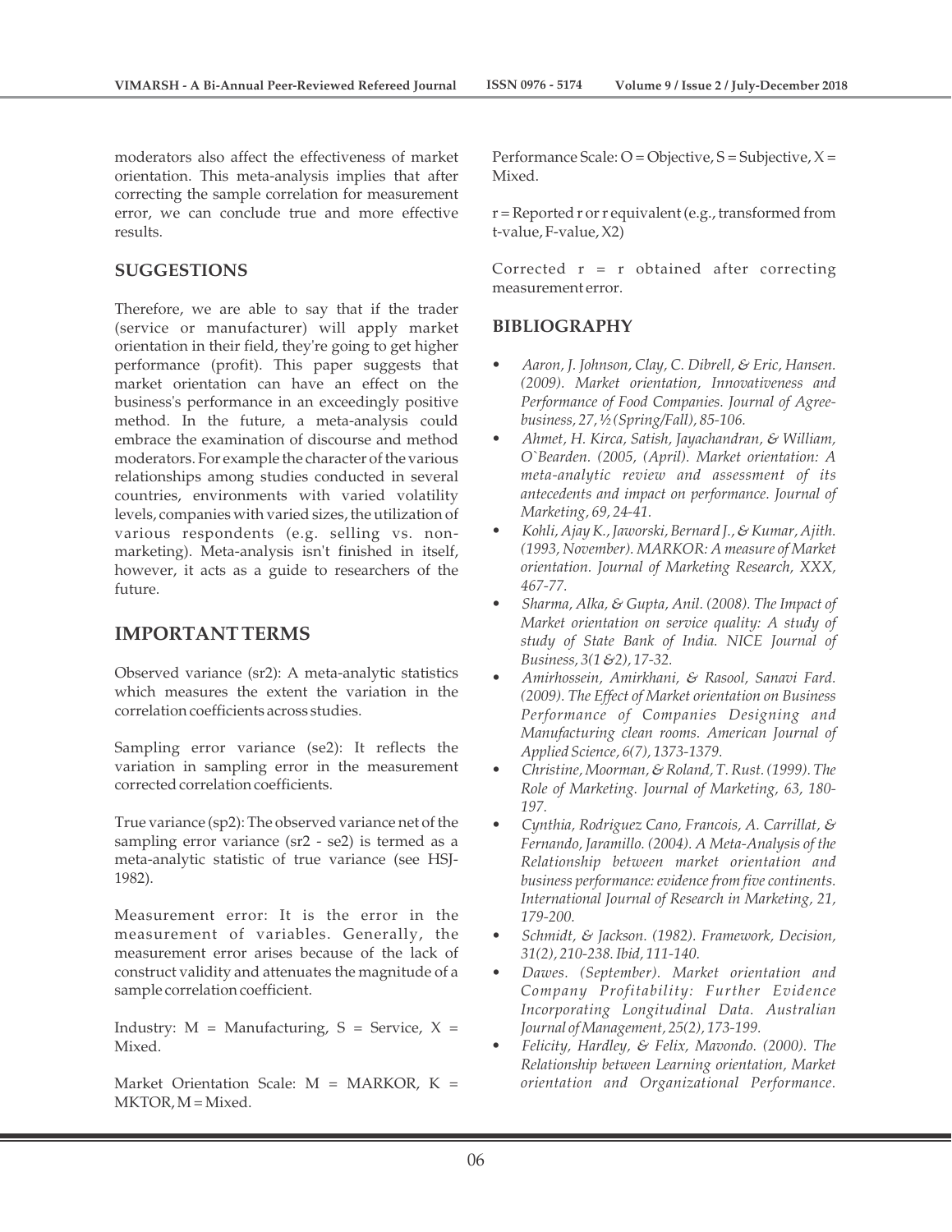moderators also affect the effectiveness of market orientation. This meta-analysis implies that after correcting the sample correlation for measurement error, we can conclude true and more effective results.

## **SUGGESTIONS**

Therefore, we are able to say that if the trader (service or manufacturer) will apply market orientation in their field, they're going to get higher performance (profit). This paper suggests that market orientation can have an effect on the business's performance in an exceedingly positive method. In the future, a meta-analysis could embrace the examination of discourse and method moderators. For example the character of the various relationships among studies conducted in several countries, environments with varied volatility levels, companies with varied sizes, the utilization of various respondents (e.g. selling vs. nonmarketing). Meta-analysis isn't finished in itself, however, it acts as a guide to researchers of the future.

# **IMPORTANT TERMS**

Observed variance (sr2): A meta-analytic statistics which measures the extent the variation in the correlation coefficients across studies.

Sampling error variance (se2): It reflects the variation in sampling error in the measurement corrected correlation coefficients.

True variance (sp2): The observed variance net of the sampling error variance (sr2 - se2) is termed as a meta-analytic statistic of true variance (see HSJ-1982).

Measurement error: It is the error in the measurement of variables. Generally, the measurement error arises because of the lack of construct validity and attenuates the magnitude of a sample correlation coefficient.

Industry:  $M =$  Manufacturing,  $S =$  Service,  $X =$ Mixed.

Market Orientation Scale:  $M = \text{MARKOR}, K =$ MKTOR, M = Mixed.

Performance Scale:  $O = Objective, S = Subjective, X =$ Mixed.

r = Reported r or r equivalent (e.g., transformed from t-value, F-value, X2)

Corrected  $r = r$  obtained after correcting measurement error.

## **BIBLIOGRAPHY**

- *Aaron, J. Johnson, Clay, C. Dibrell, & Eric, Hansen. (2009). Market orientation, Innovativeness and Performance of Food Companies. Journal of Agreebusiness, 27, ½ (Spring/Fall), 85-106.*
- *Ahmet, H. Kirca, Satish, Jayachandran, & William, O`Bearden. (2005, (April). Market orientation: A meta-analytic review and assessment of its antecedents and impact on performance. Journal of Marketing, 69, 24-41.*
- *Kohli, Ajay K., Jaworski, Bernard J., & Kumar, Ajith. (1993, November). MARKOR: A measure of Market orientation. Journal of Marketing Research, XXX, 467-77.*
- *Sharma, Alka, & Gupta, Anil. (2008). The Impact of Market orientation on service quality: A study of study of State Bank of India. NICE Journal of Business, 3(1 &2), 17-32.*
- *Amirhossein, Amirkhani, & Rasool, Sanavi Fard. (2009). The Effect of Market orientation on Business Performance of Companies Designing and Manufacturing clean rooms. American Journal of Applied Science, 6(7), 1373-1379.*
- *Christine, Moorman, & Roland, T. Rust. (1999). The Role of Marketing. Journal of Marketing, 63, 180- 197.*
- *Cynthia, Rodriguez Cano, Francois, A. Carrillat, & Fernando, Jaramillo. (2004). A Meta-Analysis of the Relationship between market orientation and business performance: evidence from five continents. International Journal of Research in Marketing, 21, 179-200.*
- *Schmidt, & Jackson. (1982). Framework, Decision, 31(2), 210-238. Ibid, 111-140.*
- *Dawes. (September). Market orientation and Company Profitability: Further Evidence Incorporating Longitudinal Data. Australian Journal of Management, 25(2), 173-199.*
- *Felicity, Hardley, & Felix, Mavondo. (2000). The Relationship between Learning orientation, Market orientation and Organizational Performance.*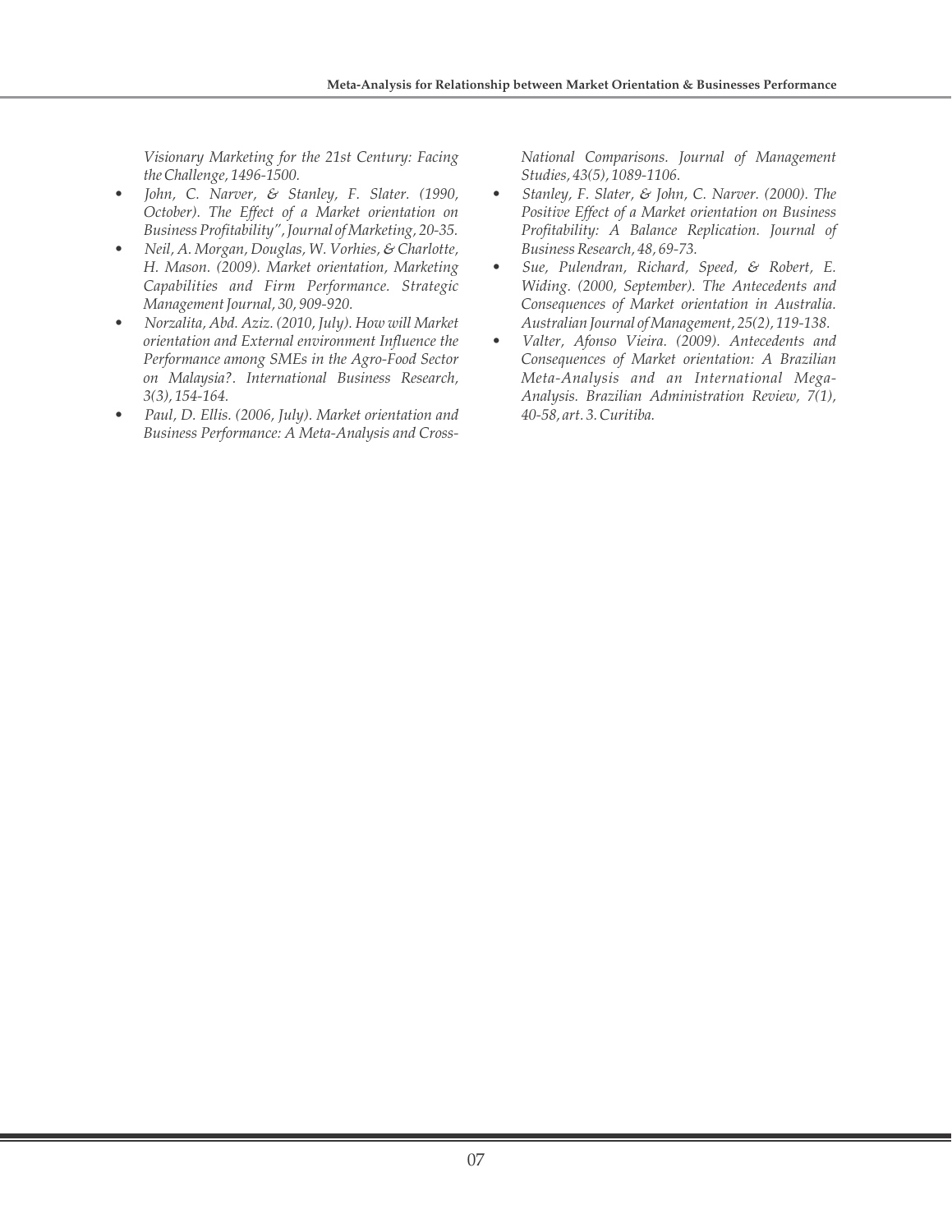*Visionary Marketing for the 21st Century: Facing the Challenge, 1496-1500.*

- *John, C. Narver, & Stanley, F. Slater. (1990, October). The Effect of a Market orientation on Business Profitability", Journal of Marketing, 20-35.*
- *Neil, A. Morgan, Douglas, W. Vorhies, & Charlotte, H. Mason. (2009). Market orientation, Marketing Capabilities and Firm Performance. Strategic Management Journal, 30, 909-920.*
- *Norzalita, Abd. Aziz. (2010, July). How will Market orientation and External environment Influence the Performance among SMEs in the Agro-Food Sector on Malaysia?. International Business Research, 3(3), 154-164.*
- *Paul, D. Ellis. (2006, July). Market orientation and Business Performance: A Meta-Analysis and Cross-*

*National Comparisons. Journal of Management Studies, 43(5), 1089-1106.*

- *Stanley, F. Slater, & John, C. Narver. (2000). The Positive Effect of a Market orientation on Business Profitability: A Balance Replication. Journal of Business Research, 48, 69-73.*
- *Sue, Pulendran, Richard, Speed, & Robert, E. Widing. (2000, September). The Antecedents and Consequences of Market orientation in Australia. Australian Journal of Management, 25(2), 119-138.*
- *Valter, Afonso Vieira. (2009). Antecedents and Consequences of Market orientation: A Brazilian Meta-Analysis and an International Mega-Analysis. Brazilian Administration Review, 7(1), 40-58, art. 3. Curitiba.*